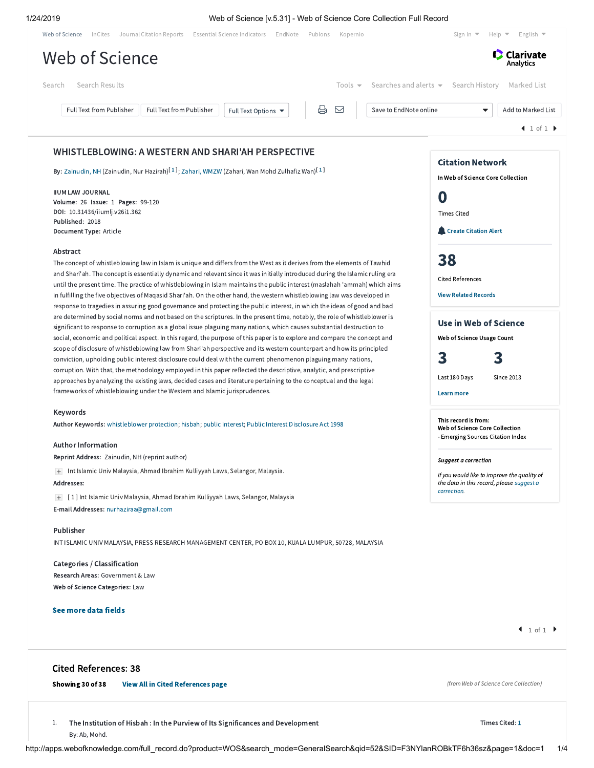## 1/24/2019 Web of Science [v.5.31] - Web of Science Core Collection Full Record

| Web of Science | InCites                         | Journal Citation Reports | Essential Science Indicators EndNote | Publons            | Kopernio |                                                              | Sign In $\blacktriangledown$ | Help $\blacktriangleright$ English $\blacktriangleright$ |
|----------------|---------------------------------|--------------------------|--------------------------------------|--------------------|----------|--------------------------------------------------------------|------------------------------|----------------------------------------------------------|
|                | Web of Science                  |                          |                                      |                    |          |                                                              |                              | <b>C</b> Clarivate<br>Analytics                          |
| Search         | Search Results                  |                          |                                      |                    |          | Tools $\bullet$ Searches and alerts $\bullet$ Search History |                              | Marked List                                              |
|                | <b>Full Text from Publisher</b> | Full Text from Publisher | Full Text Options ▼                  | $\oplus$ $\boxdot$ |          | Save to EndNote online                                       | ▼                            | Add to Marked List                                       |
|                |                                 |                          |                                      |                    |          |                                                              |                              | $\blacktriangleleft$ 1 of 1 $\blacktriangleright$        |
|                |                                 |                          |                                      |                    |          |                                                              |                              |                                                          |

## WHISTLEBLOWING: A WESTERN AND SHARI'AH PERSPECTIVE

**By:** [Zainudin,](http://apps.webofknowledge.com/DaisyOneClickSearch.do?product=WOS&search_mode=DaisyOneClickSearch&colName=WOS&SID=F3NYlanROBkTF6h36sz&author_name=Zainudin,%20NH&dais_id=24317494&excludeEventConfig=ExcludeIfFromFullRecPage) NH (Zainudin, Nur Hazirah) $^{[1]}$  $^{[1]}$  $^{[1]}$ ; [Zahari,](http://apps.webofknowledge.com/DaisyOneClickSearch.do?product=WOS&search_mode=DaisyOneClickSearch&colName=WOS&SID=F3NYlanROBkTF6h36sz&author_name=Zahari,%20WMZW&dais_id=10783959&excludeEventConfig=ExcludeIfFromFullRecPage) WMZW (Zahari, Wan Mohd Zulhafiz Wan) $^{[1]}$ 

### IIUM LAW JOURNAL

Volume: 26 Issue: 1 Pages: 99-120 DOI: 10.31436/iiumlj.v26i1.362 Published: 2018 Document Type: Article

## Abstract

The concept of whistleblowing law in Islam is unique and differs from the West as it derives from the elements of Tawhid and Shari'ah. The concept is essentially dynamic and relevant since it was initially introduced during the Islamic ruling era until the present time. The practice of whistleblowing in Islam maintains the public interest (maslahah 'ammah) which aims in fulfilling the five objectives of Maqasid Shari'ah. On the other hand, the western whistleblowing law was developed in response to tragedies in assuring good governance and protecting the public interest, in which the ideas of good and bad are determined by social norms and not based on the scriptures. In the present time, notably, the role of whistleblower is significant to response to corruption as a global issue plaguing many nations, which causes substantial destruction to social, economic and political aspect. In this regard, the purpose of this paper is to explore and compare the concept and scope of disclosure of whistleblowing law from Shari'ah perspective and its western counterpart and how its principled conviction, upholding public interest disclosure could deal with the current phenomenon plaguing many nations, corruption. With that, the methodology employed in this paper reflected the descriptive, analytic, and prescriptive approaches by analyzing the existing laws, decided cases and literature pertaining to the conceptual and the legal frameworks of whistleblowing under the Western and Islamic jurisprudences.

#### Keywords

Author Keywords: [whistleblower](http://apps.webofknowledge.com/OneClickSearch.do?product=WOS&search_mode=OneClickSearch&excludeEventConfig=ExcludeIfFromFullRecPage&colName=WOS&SID=F3NYlanROBkTF6h36sz&field=TS&value=whistleblower+protection&uncondQuotes=true) protection; [hisbah](http://apps.webofknowledge.com/OneClickSearch.do?product=WOS&search_mode=OneClickSearch&excludeEventConfig=ExcludeIfFromFullRecPage&colName=WOS&SID=F3NYlanROBkTF6h36sz&field=TS&value=hisbah&uncondQuotes=true); public [interest](http://apps.webofknowledge.com/OneClickSearch.do?product=WOS&search_mode=OneClickSearch&excludeEventConfig=ExcludeIfFromFullRecPage&colName=WOS&SID=F3NYlanROBkTF6h36sz&field=TS&value=public+interest&uncondQuotes=true); Public Interest [Disclosure](http://apps.webofknowledge.com/OneClickSearch.do?product=WOS&search_mode=OneClickSearch&excludeEventConfig=ExcludeIfFromFullRecPage&colName=WOS&SID=F3NYlanROBkTF6h36sz&field=TS&value=Public+Interest+Disclosure+Act+1998&uncondQuotes=true) Act 1998

## Author Information

Reprint Address: Zainudin, NH (reprint author)

Int Islamic Univ Malaysia, Ahmad Ibrahim Kulliyyah Laws, Selangor, Malaysia.

#### Addresses:

[ 1 ] Int Islamic Univ Malaysia, Ahmad Ibrahim Kulliyyah Laws, Selangor, Malaysia

## E-mail Addresses: [nurhaziraa@gmail.com](mailto:nurhaziraa@gmail.com)

## Publisher

INT ISLAMIC UNIV MALAYSIA, PRESS RESEARCH MANAGEMENT CENTER, PO BOX 10, KUALA LUMPUR, 50728, MALAYSIA

Categories / Classification Research Areas: Government & Law Web of Science Categories: Law

## See more data fields

# Cited References: 38

## Showing 30 of 38 [View All in Cited References page](http://apps.webofknowledge.com/summary.do?product=WOS&parentProduct=WOS&search_mode=CitedRefList&parentQid=52&parentDoc=1&qid=53&SID=F3NYlanROBkTF6h36sz&colName=WOS&page=1)

1. The Institution of Hisbah : In the Purview of Its Significances and Development By: Ab, Mohd.

(from Web of Science Core Collection)

#### Times Cited: [1](http://apps.webofknowledge.com/CitingArticles.do?product=WOS&SID=F3NYlanROBkTF6h36sz&search_mode=CitingArticles&parentProduct=WOS&parentQid=53&parentDoc=1&REFID=563927597&excludeEventConfig=ExcludeIfFromNonInterProduct)

http://apps.webofknowledge.com/full\_record.do?product=WOS&search\_mode=GeneralSearch&qid=52&SID=F3NYlanROBkTF6h36sz&page=1&doc=1 1/4

 $1 of 1$ 

Learn more

Last 180 Days Since 2013

Use in Web of Science Web of Science Usage Count 3 3

Citation Network In Web of Science Core Collection

**Create [Citation](javascript:csiovl() Alert** 

0

Times Cited

[38](http://apps.webofknowledge.com/InterService.do?product=WOS&toPID=WOS&action=AllCitationService&isLinks=yes&highlighted_tab=WOS&last_prod=WOS&fromPID=WOS&returnLink=http%3a%2f%2fapps.webofknowledge.com%2ffull_record.do%3fhighlighted_tab%3dWOS%26last_prod%3dWOS%26search_mode%3dGeneralSearch%26qid%3d52%26log_event%3dyes%26product%3dWOS%26SID%3dF3NYlanROBkTF6h36sz%26viewType%3dfullRecord%26doc%3d1%26page%3d1&srcDesc=RET2WOS&srcAlt=Back+to+Web+of+Science&UT=WOS:000437544500005&search_mode=CitedRefList&SID=F3NYlanROBkTF6h36sz&parentProduct=WOS&parentQid=52&parentDoc=1&recid=WOS:000437544500005&PREC_REFCOUNT=38&fromRightPanel=true)

Cited References View Related [Records](http://apps.webofknowledge.com/InterService.do?product=WOS&toPID=WOS&action=AllCitationService&isLinks=yes&highlighted_tab=WOS&last_prod=WOS&fromPID=WOS&returnLink=http%3a%2f%2fapps.webofknowledge.com%2ffull_record.do%3fhighlighted_tab%3dWOS%26last_prod%3dWOS%26search_mode%3dGeneralSearch%26qid%3d52%26log_event%3dyes%26product%3dWOS%26SID%3dF3NYlanROBkTF6h36sz%26viewType%3dfullRecord%26doc%3d1%26page%3d1&srcDesc=RET2WOS&srcAlt=Back+to+Web+of+Science&UT=WOS:000437544500005&parentProduct=WOS&parentQid=52&search_mode=RelatedRecords&SID=F3NYlanROBkTF6h36sz&parentDoc=1)

This record is from: Web of Science Core Collection - Emerging Sources Citation Index

Suggest a correction

If you would like to improve the quality of the data in this record, please suggest a [correction.](javascript:;)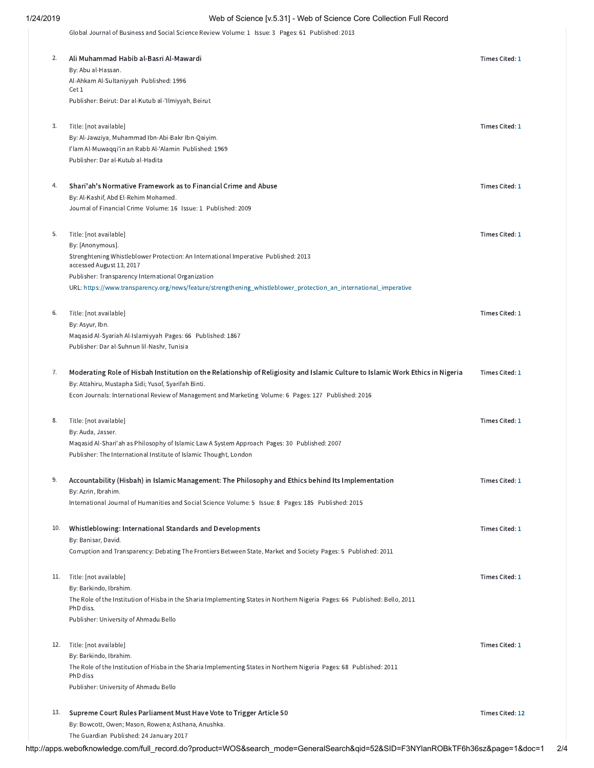# 1/24/2019 Web of Science [v.5.31] - Web of Science Core Collection Full Record

Global Journal of Business and Social Science Review Volume: 1 Issue: 3 Pages: 61 Published: 2013

| 2.  | Ali Muhammad Habib al-Basri Al-Mawardi                                                                                                                                                | Times Cited: 1  |
|-----|---------------------------------------------------------------------------------------------------------------------------------------------------------------------------------------|-----------------|
|     | By: Abu al-Hassan.<br>Al-Ahkam Al-Sultaniyyah Published: 1996                                                                                                                         |                 |
|     | Cet 1                                                                                                                                                                                 |                 |
|     | Publisher: Beirut: Dar al-Kutub al-'Ilmiyyah, Beirut                                                                                                                                  |                 |
| 3.  | Title: [not available]                                                                                                                                                                | Times Cited: 1  |
|     | By: Al-Jawziya, Muhammad Ibn-Abi-Bakr Ibn-Qaiyim.                                                                                                                                     |                 |
|     | I'lam Al-Muwaqqi'in an Rabb Al-'Alamin Published: 1969                                                                                                                                |                 |
|     | Publisher: Dar al-Kutub al-Hadita                                                                                                                                                     |                 |
|     |                                                                                                                                                                                       |                 |
| 4.  | Shari'ah's Normative Framework as to Financial Crime and Abuse                                                                                                                        | Times Cited: 1  |
|     | By: Al-Kashif, Abd El-Rehim Mohamed.                                                                                                                                                  |                 |
|     | Journal of Financial Crime Volume: 16 Issue: 1 Published: 2009                                                                                                                        |                 |
| 5.  | Title: [not available]                                                                                                                                                                | Times Cited: 1  |
|     | By: [Anonymous].                                                                                                                                                                      |                 |
|     | Strenghtening Whistleblower Protection: An International Imperative Published: 2013                                                                                                   |                 |
|     | accessed August 13, 2017                                                                                                                                                              |                 |
|     | Publisher: Transparency International Organization<br>URL: https://www.transparency.org/news/feature/strengthening_whistleblower_protection_an_international_imperative               |                 |
|     |                                                                                                                                                                                       |                 |
| 6.  | Title: [not available]                                                                                                                                                                | Times Cited: 1  |
|     | By: Asyur, Ibn.                                                                                                                                                                       |                 |
|     | Maqasid Al-Syariah Al-Islamiyyah Pages: 66 Published: 1867                                                                                                                            |                 |
|     | Publisher: Dar al-Suhnun lil-Nashr, Tunisia                                                                                                                                           |                 |
|     |                                                                                                                                                                                       |                 |
| 7.  | Moderating Role of Hisbah Institution on the Relationship of Religiosity and Islamic Culture to Islamic Work Ethics in Nigeria<br>By: Attahiru, Mustapha Sidi; Yusof, Syarifah Binti. | Times Cited: 1  |
|     | Econ Journals: International Review of Management and Marketing Volume: 6 Pages: 127 Published: 2016                                                                                  |                 |
|     |                                                                                                                                                                                       |                 |
| 8.  | Title: [not available]                                                                                                                                                                | Times Cited: 1  |
|     | By: Auda, Jasser.                                                                                                                                                                     |                 |
|     | Maqasid Al-Shari'ah as Philosophy of Islamic Law A System Approach Pages: 30 Published: 2007                                                                                          |                 |
|     | Publisher: The International Institute of Islamic Thought, London                                                                                                                     |                 |
| 9.  | Accountability (Hisbah) in Islamic Management: The Philosophy and Ethics behind Its Implementation                                                                                    | Times Cited: 1  |
|     | By: Azrin, Ibrahim.                                                                                                                                                                   |                 |
|     | International Journal of Humanities and Social Science Volume: 5 Issue: 8 Pages: 185 Published: 2015                                                                                  |                 |
|     |                                                                                                                                                                                       |                 |
| 10. | Whistleblowing: International Standards and Developments                                                                                                                              | Times Cited: 1  |
|     | By: Banisar, David.                                                                                                                                                                   |                 |
|     | Corruption and Transparency: Debating The Frontiers Between State, Market and Society Pages: 5 Published: 2011                                                                        |                 |
| 11. | Title: [not available]                                                                                                                                                                | Times Cited: 1  |
|     | By: Barkindo, Ibrahim.                                                                                                                                                                |                 |
|     | The Role of the Institution of Hisba in the Sharia Implementing States in Northern Nigeria Pages: 66 Published: Bello, 2011                                                           |                 |
|     | PhD diss.                                                                                                                                                                             |                 |
|     | Publisher: University of Ahmadu Bello                                                                                                                                                 |                 |
| 12. | Title: [not available]                                                                                                                                                                | Times Cited: 1  |
|     | By: Barkindo, Ibrahim.                                                                                                                                                                |                 |
|     | The Role of the Institution of Hisba in the Sharia Implementing States in Northern Nigeria Pages: 68 Published: 2011                                                                  |                 |
|     | PhD diss                                                                                                                                                                              |                 |
|     | Publisher: University of Ahmadu Bello                                                                                                                                                 |                 |
| 13. | Supreme Court Rules Parliament Must Have Vote to Trigger Article 50                                                                                                                   | Times Cited: 12 |
|     | By: Bowcott, Owen; Mason, Rowena; Asthana, Anushka.                                                                                                                                   |                 |
|     | The Guardian Published: 24 January 2017                                                                                                                                               |                 |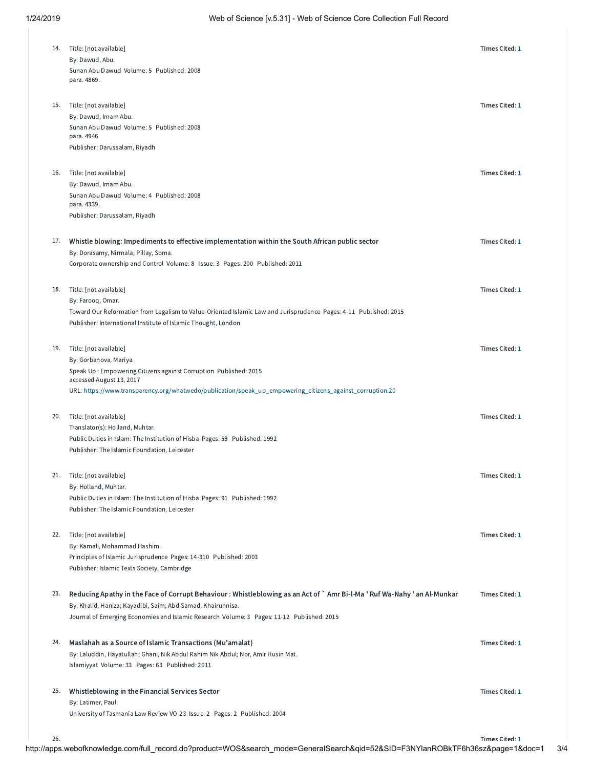| 14. | Title: [not available]<br>By: Dawud, Abu.<br>Sunan Abu Dawud Volume: 5 Published: 2008<br>para. 4869.                                                                                                                                                                                                                          | Times Cited: 1 |
|-----|--------------------------------------------------------------------------------------------------------------------------------------------------------------------------------------------------------------------------------------------------------------------------------------------------------------------------------|----------------|
| 15. | Title: [not available]<br>By: Dawud, Imam Abu.<br>Sunan Abu Dawud Volume: 5 Published: 2008<br>para. 4946<br>Publisher: Darussalam, Riyadh                                                                                                                                                                                     | Times Cited: 1 |
| 16. | Title: [not available]<br>By: Dawud, Imam Abu.<br>Sunan Abu Dawud Volume: 4 Published: 2008<br>para. 4339.<br>Publisher: Darussalam, Riyadh                                                                                                                                                                                    | Times Cited: 1 |
| 17. | Whistle blowing: Impediments to effective implementation within the South African public sector<br>By: Dorasamy, Nirmala; Pillay, Soma.<br>Corporate ownership and Control Volume: 8 Issue: 3 Pages: 200 Published: 2011                                                                                                       | Times Cited: 1 |
| 18. | Title: [not available]<br>By: Farooq, Omar.<br>Toward Our Reformation from Legalism to Value-Oriented Islamic Law and Jurisprudence Pages: 4-11 Published: 2015                                                                                                                                                                | Times Cited: 1 |
| 19. | Publisher: International Institute of Islamic Thought, London<br>Title: [not available]<br>By: Gorbanova, Mariya.<br>Speak Up: Empowering Citizens against Corruption Published: 2015<br>accessed August 13, 2017<br>URL: https://www.transparency.org/whatwedo/publication/speak_up_empowering_citizens_against_corruption.20 | Times Cited: 1 |
| 20. | Title: [not available]<br>Translator(s): Holland, Muhtar.<br>Public Duties in Islam: The Institution of Hisba Pages: 59 Published: 1992<br>Publisher: The Islamic Foundation, Leicester                                                                                                                                        | Times Cited: 1 |
| 21. | Title: [not available]<br>By: Holland, Muhtar.<br>Public Duties in Islam: The Institution of Hisba Pages: 91 Published: 1992                                                                                                                                                                                                   | Times Cited: 1 |
| 22. | Publisher: The Islamic Foundation, Leicester<br>Title: [not available]<br>By: Kamali, Mohammad Hashim.<br>Principles of Islamic Jurisprudence Pages: 14-310 Published: 2003<br>Publisher: Islamic Texts Society, Cambridge                                                                                                     | Times Cited: 1 |
| 23. | Reducing Apathy in the Face of Corrupt Behaviour : Whistleblowing as an Act of `Amr Bi-l-Ma ' Ruf Wa-Nahy ' an Al-Munkar<br>By: Khalid, Haniza; Kayadibi, Saim; Abd Samad, Khairunnisa.<br>Journal of Emerging Economies and Islamic Research Volume: 3 Pages: 11-12 Published: 2015                                           | Times Cited: 1 |
| 24. | Maslahah as a Source of Islamic Transactions (Mu'amalat)<br>By: Laluddin, Hayatullah; Ghani, Nik Abdul Rahim Nik Abdul; Nor, Amir Husin Mat.<br>Islamiyyat Volume: 33 Pages: 63 Published: 2011                                                                                                                                | Times Cited: 1 |
| 25. | Whistleblowing in the Financial Services Sector<br>By: Latimer, Paul.<br>University of Tasmania Law Review VO-23 Issue: 2 Pages: 2 Published: 2004                                                                                                                                                                             | Times Cited: 1 |

26.